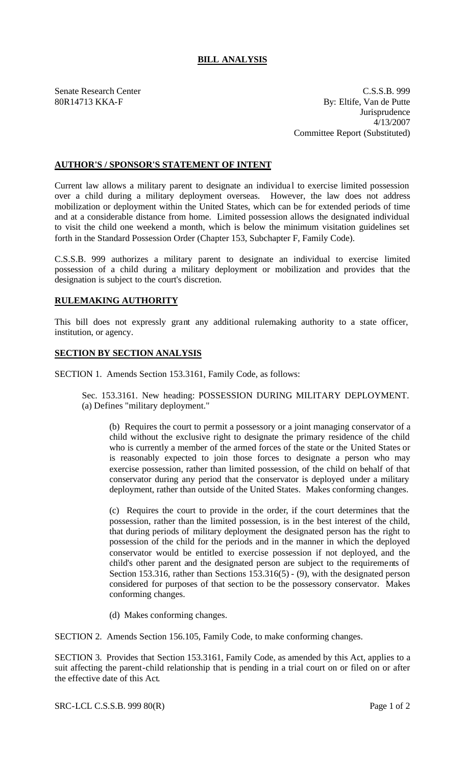## **BILL ANALYSIS**

Senate Research Center C.S.S.B. 999 80R14713 KKA-F By: Eltife, Van de Putte Jurisprudence 4/13/2007 Committee Report (Substituted)

## **AUTHOR'S / SPONSOR'S STATEMENT OF INTENT**

Current law allows a military parent to designate an individua l to exercise limited possession over a child during a military deployment overseas. However, the law does not address mobilization or deployment within the United States, which can be for extended periods of time and at a considerable distance from home. Limited possession allows the designated individual to visit the child one weekend a month, which is below the minimum visitation guidelines set forth in the Standard Possession Order (Chapter 153, Subchapter F, Family Code).

C.S.S.B. 999 authorizes a military parent to designate an individual to exercise limited possession of a child during a military deployment or mobilization and provides that the designation is subject to the court's discretion.

## **RULEMAKING AUTHORITY**

This bill does not expressly grant any additional rulemaking authority to a state officer, institution, or agency.

## **SECTION BY SECTION ANALYSIS**

SECTION 1. Amends Section 153.3161, Family Code, as follows:

Sec. 153.3161. New heading: POSSESSION DURING MILITARY DEPLOYMENT. (a) Defines "military deployment."

(b) Requires the court to permit a possessory or a joint managing conservator of a child without the exclusive right to designate the primary residence of the child who is currently a member of the armed forces of the state or the United States or is reasonably expected to join those forces to designate a person who may exercise possession, rather than limited possession, of the child on behalf of that conservator during any period that the conservator is deployed under a military deployment, rather than outside of the United States. Makes conforming changes.

(c) Requires the court to provide in the order, if the court determines that the possession, rather than the limited possession, is in the best interest of the child, that during periods of military deployment the designated person has the right to possession of the child for the periods and in the manner in which the deployed conservator would be entitled to exercise possession if not deployed, and the child's other parent and the designated person are subject to the requirements of Section 153.316, rather than Sections 153.316(5) - (9), with the designated person considered for purposes of that section to be the possessory conservator. Makes conforming changes.

(d) Makes conforming changes.

SECTION 2. Amends Section 156.105, Family Code, to make conforming changes.

SECTION 3. Provides that Section 153.3161, Family Code, as amended by this Act, applies to a suit affecting the parent-child relationship that is pending in a trial court on or filed on or after the effective date of this Act.